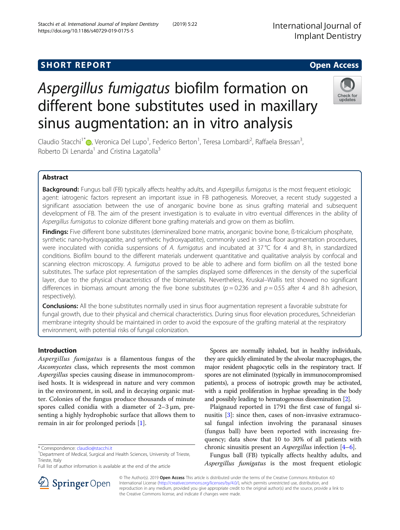## **SHORT REPORT SHORT CONSUMING THE SHORT CONSUMING THE SHORT CONSUMING THE SHORT CONSUMING THE SHORT CONSUMING THE SHORT CONSUMING THE SHORT CONSUMING THE SHORT CONSUMING THE SHORT CONSUMING THE SHORT CONSUMING THE SHORT**

# Aspergillus fumigatus biofilm formation on different bone substitutes used in maxillary sinus augmentation: an in vitro analysis

Claudio Stacchi<sup>1\*</sup> (D[,](http://orcid.org/0000-0003-4017-4980) Veronica Del Lupo<sup>1</sup>, Federico Berton<sup>1</sup>, Teresa Lombardi<sup>2</sup>, Raffaela Bressan<sup>3</sup> , Roberto Di Lenarda<sup>1</sup> and Cristina Lagatolla<sup>3</sup>

## Abstract

Background: Fungus ball (FB) typically affects healthy adults, and Aspergillus fumigatus is the most frequent etiologic agent: iatrogenic factors represent an important issue in FB pathogenesis. Moreover, a recent study suggested a significant association between the use of anorganic bovine bone as sinus grafting material and subsequent development of FB. The aim of the present investigation is to evaluate in vitro eventual differences in the ability of Aspergillus fumigatus to colonize different bone grafting materials and grow on them as biofilm.

Findings: Five different bone substitutes (demineralized bone matrix, anorganic bovine bone, ß-tricalcium phosphate, synthetic nano-hydroxyapatite, and synthetic hydroxyapatite), commonly used in sinus floor augmentation procedures, were inoculated with conidia suspensions of A. fumigatus and incubated at 37°C for 4 and 8 h, in standardized conditions. Biofilm bound to the different materials underwent quantitative and qualitative analysis by confocal and scanning electron microscopy. A. fumigatus proved to be able to adhere and form biofilm on all the tested bone substitutes. The surface plot representation of the samples displayed some differences in the density of the superficial layer, due to the physical characteristics of the biomaterials. Nevertheless, Kruskal–Wallis test showed no significant differences in biomass amount among the five bone substitutes ( $p = 0.236$  and  $p = 0.55$  after 4 and 8 h adhesion, respectively).

Conclusions: All the bone substitutes normally used in sinus floor augmentation represent a favorable substrate for fungal growth, due to their physical and chemical characteristics. During sinus floor elevation procedures, Schneiderian membrane integrity should be maintained in order to avoid the exposure of the grafting material at the respiratory environment, with potential risks of fungal colonization.

## Introduction

Aspergillus fumigatus is a filamentous fungus of the Ascomycetes class, which represents the most common Aspergillus species causing disease in immunocompromised hosts. It is widespread in nature and very common in the environment, in soil, and in decaying organic matter. Colonies of the fungus produce thousands of minute spores called conidia with a diameter of 2–3 μm, presenting a highly hydrophobic surface that allows them to remain in air for prolonged periods [[1\]](#page-4-0).

\* Correspondence: [claudio@stacchi.it](mailto:claudio@stacchi.it) <sup>1</sup>

Full list of author information is available at the end of the article

Spores are normally inhaled, but in healthy individuals, they are quickly eliminated by the alveolar macrophages, the major resident phagocytic cells in the respiratory tract. If spores are not eliminated (typically in immunocompromised patients), a process of isotropic growth may be activated, with a rapid proliferation in hyphae spreading in the body and possibly leading to hematogenous dissemination [[2](#page-4-0)].

Plaignaud reported in 1791 the first case of fungal sinusitis [\[3\]](#page-4-0): since then, cases of non-invasive extramucosal fungal infection involving the paranasal sinuses (fungus ball) have been reported with increasing frequency; data show that 10 to 30% of all patients with chronic sinusitis present an Aspergillus infection [[4](#page-4-0)–[6](#page-4-0)].

Fungus ball (FB) typically affects healthy adults, and Aspergillus fumigatus is the most frequent etiologic

© The Author(s). 2019 Open Access This article is distributed under the terms of the Creative Commons Attribution 4.0 International License ([http://creativecommons.org/licenses/by/4.0/\)](http://creativecommons.org/licenses/by/4.0/), which permits unrestricted use, distribution, and reproduction in any medium, provided you give appropriate credit to the original author(s) and the source, provide a link to the Creative Commons license, and indicate if changes were made.





<sup>&</sup>lt;sup>1</sup>Department of Medical, Surgical and Health Sciences, University of Trieste, Trieste, Italy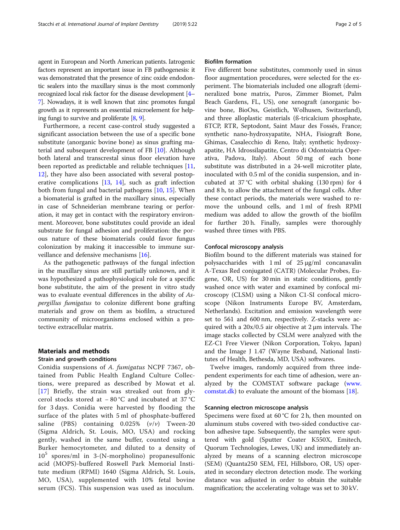agent in European and North American patients. Iatrogenic factors represent an important issue in FB pathogenesis: it was demonstrated that the presence of zinc oxide endodontic sealers into the maxillary sinus is the most commonly recognized local risk factor for the disease development [\[4](#page-4-0)– [7](#page-4-0)]. Nowadays, it is well known that zinc promotes fungal growth as it represents an essential microelement for helping fungi to survive and proliferate [[8](#page-4-0), [9\]](#page-4-0).

Furthermore, a recent case-control study suggested a significant association between the use of a specific bone substitute (anorganic bovine bone) as sinus grafting material and subsequent development of FB [[10](#page-4-0)]. Although both lateral and transcrestal sinus floor elevation have been reported as predictable and reliable techniques [[11](#page-4-0), [12\]](#page-4-0), they have also been associated with several postoperative complications [[13](#page-4-0), [14\]](#page-4-0), such as graft infection both from fungal and bacterial pathogens [[10](#page-4-0), [15](#page-4-0)]. When a biomaterial is grafted in the maxillary sinus, especially in case of Schneiderian membrane tearing or perforation, it may get in contact with the respiratory environment. Moreover, bone substitutes could provide an ideal substrate for fungal adhesion and proliferation: the porous nature of these biomaterials could favor fungus colonization by making it inaccessible to immune surveillance and defensive mechanisms [[16\]](#page-4-0).

As the pathogenetic pathways of the fungal infection in the maxillary sinus are still partially unknown, and it was hypothesized a pathophysiological role for a specific bone substitute, the aim of the present in vitro study was to evaluate eventual differences in the ability of Aspergillus fumigatus to colonize different bone grafting materials and grow on them as biofilm, a structured community of microorganisms enclosed within a protective extracellular matrix.

## Materials and methods

## Strain and growth conditions

Conidia suspensions of A. fumigatus NCPF 7367, obtained from Public Health England Culture Collections, were prepared as described by Mowat et al. [[17](#page-4-0)] Briefly, the strain was streaked out from glycerol stocks stored at − 80 °C and incubated at 37 °C for 3 days. Conidia were harvested by flooding the surface of the plates with 5 ml of phosphate-buffered saline (PBS) containing  $0.025\%$  ( $v/v$ ) Tween-20 (Sigma Aldrich, St. Louis, MO, USA) and rocking gently, washed in the same buffer, counted using a Burker hemocytometer, and diluted to a density of  $10^5$  spores/ml in 3-(N-morpholino) propanesulfonic acid (MOPS)-buffered Roswell Park Memorial Institute medium (RPMI) 1640 (Sigma Aldrich, St. Louis, MO, USA), supplemented with 10% fetal bovine serum (FCS). This suspension was used as inoculum.

#### Biofilm formation

Five different bone substitutes, commonly used in sinus floor augmentation procedures, were selected for the experiment. The biomaterials included one allograft (demineralized bone matrix, Puros, Zimmer Biomet, Palm Beach Gardens, FL, US), one xenograft (anorganic bovine bone, BioOss, Geistlich, Wolhusen, Switzerland), and three alloplastic materials (ß-tricalcium phosphate, ßTCP, RTR, Septodont, Saint Maur des Fossés, France; synthetic nano-hydroxyapatite, NHA, Fisiograft Bone, Ghimas, Casalecchio di Reno, Italy; synthetic hydroxyapatite, HA Idrossilapatite, Centro di Odontoiatria Operativa, Padova, Italy). About 50 mg of each bone substitute was distributed in a 24-well microtiter plate, inoculated with 0.5 ml of the conidia suspension, and incubated at 37 °C with orbital shaking (130 rpm) for 4 and 8 h, to allow the attachment of the fungal cells. After these contact periods, the materials were washed to remove the unbound cells, and 1 ml of fresh RPMI medium was added to allow the growth of the biofilm for further 20 h. Finally, samples were thoroughly washed three times with PBS.

#### Confocal microscopy analysis

Biofilm bound to the different materials was stained for polysaccharides with 1 ml of 25 μg/ml concanavalin A-Texas Red conjugated (CATR) (Molecular Probes, Eugene, OR, US) for 30 min in static conditions, gently washed once with water and examined by confocal microscopy (CLSM) using a Nikon C1-SI confocal microscope (Nikon Instruments Europe BV, Amsterdam, Netherlands). Excitation and emission wavelength were set to 561 and 600 nm, respectively. Z-stacks were acquired with a 20x/0.5 air objective at 2 μm intervals. The image stacks collected by CSLM were analyzed with the EZ-C1 Free Viewer (Nikon Corporation, Tokyo, Japan) and the Image J 1.47 (Wayne Resband, National Institutes of Health, Bethesda, MD, USA) softwares.

Twelve images, randomly acquired from three independent experiments for each time of adhesion, were analyzed by the COMSTAT software package ([www.](http://www.comstat.dk) [comstat.dk](http://www.comstat.dk)) to evaluate the amount of the biomass [[18\]](#page-4-0).

#### Scanning electron microscope analysis

Specimens were fixed at 60 °C for 2 h, then mounted on aluminum stubs covered with two-sided conductive carbon adhesive tape. Subsequently, the samples were sputtered with gold (Sputter Coater K550X, Emitech, Quorum Technologies, Lewes, UK) and immediately analyzed by means of a scanning electron microscope (SEM) (Quanta250 SEM, FEI, Hillsboro, OR, US) operated in secondary electron detection mode. The working distance was adjusted in order to obtain the suitable magnification; the accelerating voltage was set to 30 kV.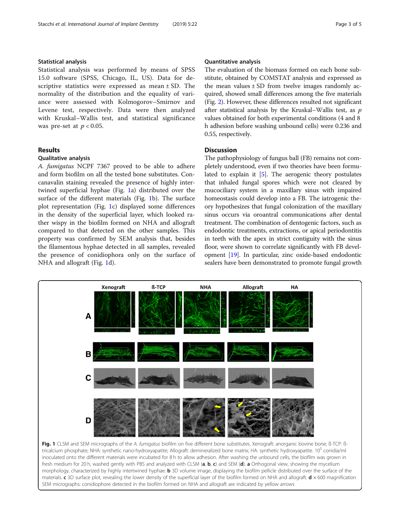## Statistical analysis

Statistical analysis was performed by means of SPSS 15.0 software (SPSS, Chicago, IL, US). Data for descriptive statistics were expressed as mean ± SD. The normality of the distribution and the equality of variance were assessed with Kolmogorov–Smirnov and Levene test, respectively. Data were then analyzed with Kruskal–Wallis test, and statistical significance was pre-set at  $p < 0.05$ .

## Results

#### Qualitative analysis

A. fumigatus NCPF 7367 proved to be able to adhere and form biofilm on all the tested bone substitutes. Concanavalin staining revealed the presence of highly intertwined superficial hyphae (Fig. 1a) distributed over the surface of the different materials (Fig. 1b). The surface plot representation (Fig. 1c) displayed some differences in the density of the superficial layer, which looked rather wispy in the biofilm formed on NHA and allograft compared to that detected on the other samples. This property was confirmed by SEM analysis that, besides the filamentous hyphae detected in all samples, revealed the presence of conidiophora only on the surface of NHA and allograft (Fig. 1d).

### Quantitative analysis

The evaluation of the biomass formed on each bone substitute, obtained by COMSTAT analysis and expressed as the mean values  $\pm$  SD from twelve images randomly acquired, showed small differences among the five materials (Fig. [2\)](#page-3-0). However, these differences resulted not significant after statistical analysis by the Kruskal–Wallis test, as  $p$ values obtained for both experimental conditions (4 and 8 h adhesion before washing unbound cells) were 0.236 and 0.55, respectively.

## **Discussion**

The pathophysiology of fungus ball (FB) remains not completely understood, even if two theories have been formulated to explain it [\[5\]](#page-4-0). The aerogenic theory postulates that inhaled fungal spores which were not cleared by mucociliary system in a maxillary sinus with impaired homeostasis could develop into a FB. The iatrogenic theory hypothesizes that fungal colonization of the maxillary sinus occurs via oroantral communications after dental treatment. The combination of dentogenic factors, such as endodontic treatments, extractions, or apical periodontitis in teeth with the apex in strict contiguity with the sinus floor, were shown to correlate significantly with FB development [\[19\]](#page-4-0). In particular, zinc oxide-based endodontic sealers have been demonstrated to promote fungal growth



tricalcium phosphate; NHA: synthetic nano-hydroxyapatite; Allograft: demineralized bone matrix; HA: synthetic hydroxyapatite. 10<sup>5</sup> conidia/ml inoculated onto the different materials were incubated for 8 h to allow adhesion. After washing the unbound cells, the biofilm was grown in fresh medium for 20 h, washed gently with PBS and analyzed with CLSM (a, b, c) and SEM (d). a Orthogonal view, showing the mycelium morphology, characterized by highly intertwined hyphae. **b** 3D volume image, displaying the biofilm pellicle distributed over the surface of the materials. c 3D surface plot, revealing the lower density of the superficial layer of the biofilm formed on NHA and allograft.  $d \times 600$  magnification SEM micrographs: conidiophore detected in the biofilm formed on NHA and allograft are indicated by yellow arrows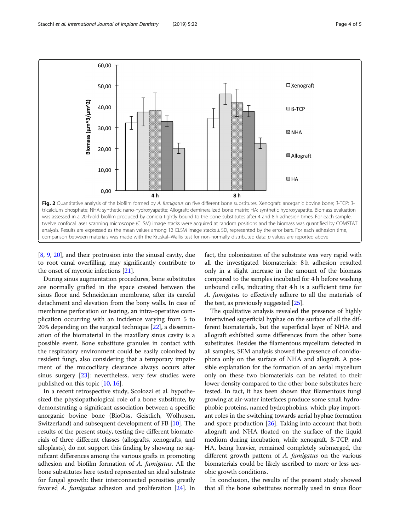<span id="page-3-0"></span>

[[8,](#page-4-0) [9,](#page-4-0) [20](#page-4-0)], and their protrusion into the sinusal cavity, due to root canal overfilling, may significantly contribute to the onset of mycotic infections [\[21\]](#page-4-0).

During sinus augmentation procedures, bone substitutes are normally grafted in the space created between the sinus floor and Schneiderian membrane, after its careful detachment and elevation from the bony walls. In case of membrane perforation or tearing, an intra-operative complication occurring with an incidence varying from 5 to 20% depending on the surgical technique [\[22\]](#page-4-0), a dissemination of the biomaterial in the maxillary sinus cavity is a possible event. Bone substitute granules in contact with the respiratory environment could be easily colonized by resident fungi, also considering that a temporary impairment of the mucociliary clearance always occurs after sinus surgery [\[23](#page-4-0)]: nevertheless, very few studies were published on this topic [[10,](#page-4-0) [16\]](#page-4-0).

In a recent retrospective study, Scolozzi et al. hypothesized the physiopathological role of a bone substitute, by demonstrating a significant association between a specific anorganic bovine bone (BioOss, Geistlich, Wolhusen, Switzerland) and subsequent development of FB [[10\]](#page-4-0). The results of the present study, testing five different biomaterials of three different classes (allografts, xenografts, and alloplasts), do not support this finding by showing no significant differences among the various grafts in promoting adhesion and biofilm formation of A. fumigatus. All the bone substitutes here tested represented an ideal substrate for fungal growth: their interconnected porosities greatly favored A. fumigatus adhesion and proliferation [[24](#page-4-0)]. In fact, the colonization of the substrate was very rapid with all the investigated biomaterials: 8 h adhesion resulted only in a slight increase in the amount of the biomass compared to the samples incubated for 4 h before washing unbound cells, indicating that 4 h is a sufficient time for A. fumigatus to effectively adhere to all the materials of the test, as previously suggested [\[25](#page-4-0)].

The qualitative analysis revealed the presence of highly intertwined superficial hyphae on the surface of all the different biomaterials, but the superficial layer of NHA and allograft exhibited some differences from the other bone substitutes. Besides the filamentous mycelium detected in all samples, SEM analysis showed the presence of conidiophora only on the surface of NHA and allograft. A possible explanation for the formation of an aerial mycelium only on these two biomaterials can be related to their lower density compared to the other bone substitutes here tested. In fact, it has been shown that filamentous fungi growing at air-water interfaces produce some small hydrophobic proteins, named hydrophobins, which play important roles in the switching towards aerial hyphae formation and spore production [[26](#page-4-0)]. Taking into account that both allograft and NHA floated on the surface of the liquid medium during incubation, while xenograft, ß-TCP, and HA, being heavier, remained completely submerged, the different growth pattern of A. fumigatus on the various biomaterials could be likely ascribed to more or less aerobic growth conditions.

In conclusion, the results of the present study showed that all the bone substitutes normally used in sinus floor